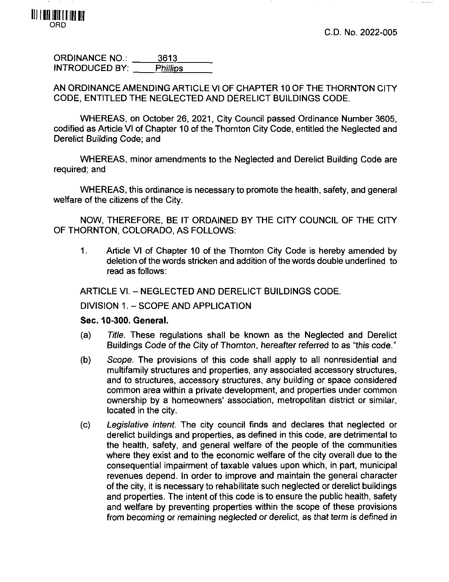s silla la designació



ORDINANCE NO.: 3613 INTRODUCED BY: Phillips

AN ORDINANCE AMENDING ARTICLE VI OF CHAPTER 10 OF THE THORNTON CITY CODE, ENTITLED THE NEGLECTED AND DERELICT BUILDINGS CODE.

WHEREAS, on October 26, 2021, City Council passed Ordinance Number 3605, codified as Article VI of Chapter 10 of the Thornton City Code, entitled the Neglected and Derelict Building Code; and

WHEREAS, minor amendments to the Neglected and Derelict Building Code are required; and

WHEREAS, this ordinance is necessary to promote the health, safety, and general welfare of the citizens of the City.

NOW, THEREFORE, BE IT ORDAINED BY THE CITY COUNCIL OF THE CITY OF THORNTON, COLORADO, AS FOLLOWS:

1. Article VI of Chapter 10 of the Thornton City Code is hereby amended by deletion of the words stricken and addition of the words double underlined to read as follows:

ARTICLE VI. - NEGLECTED AND DERELICT BUILDINGS CODE.

DIVISION 1. - SCOPE AND APPLICATION

### **Sec. 10-300. General.**

- (a) Title. These regulations shall be known as the Neglected and Derelict Buildings Code of the City of Thornton, hereafter referred to as "this code."
- (b) Scope. The provisions of this code shall apply to all nonresidential and multifamily structures and properties, any associated accessory structures, and to structures, accessory structures, any building or space considered common area within a private development, and properties under common ownership by a homeowners' association, metropolitan district or similar, located in the city.
- (c) Legislative intent. The city council finds and declares that neglected or derelict buildings and properties, as defined in this code, are detrimental to the health, safety, and general welfare of the people of the communities where they exist and to the economic welfare of the city overall due to the consequential impairment of taxable values upon which, in part, municipal revenues depend. In order to improve and maintain the general character of the city, it is necessary to rehabilitate such neglected or derelict buildings and properties. The intent of this code is to ensure the public health, safety and welfare by preventing properties within the scope of these provisions from becoming or remaining neglected or derelict, as that term is defined in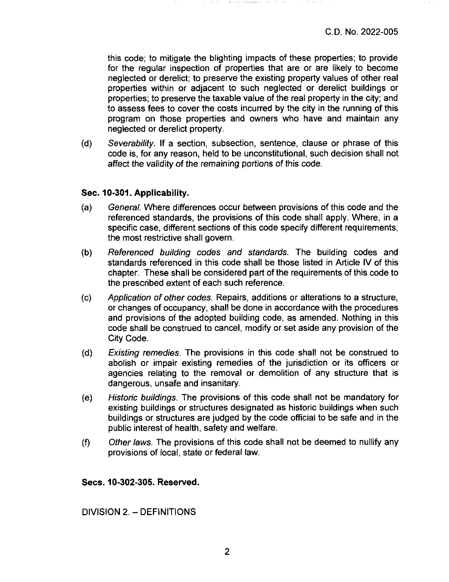this code; to mitigate the blighting impacts of these properties; to provide for the regular inspection of properties that are or are likely to become neglected or derelict; to preserve the existing property values of other real properties within or adjacent to such neglected or derelict buildings or properties; to preserve the taxable value of the real property in the city; and to assess fees to cover the costs incurred by the city in the running of this program on those properties and owners who have and maintain any neglected or derelict property.

(d) Severability. If a section, subsection, sentence, clause or phrase of this code is, for any reason, held to be unconstitutional, such decision shall not affect the validity of the remaining portions of this code.

### **Sec. 10-301. Applicability.**

- (a) General. Where differences occur between provisions of this code and the referenced standards, the provisions of this code shall apply. Where, in a specific case, different sections of this code specify different requirements, the most restrictive shall govern.
- (b) Referenced building codes and standards. The building codes and standards referenced in this code shall be those listed in Article IV of this chapter. These shall be considered part of the requirements of this code to the prescribed extent of each such reference.
- (c) Application of other codes. Repairs, additions or alterations to a structure, or changes of occupancy, shall be done in accordance with the procedures and provisions of the adopted building code, as amended. Nothing in this code shall be construed to cancel, modify or set aside any provision of the City Code.
- (d) Existing remedies. The provisions in this code shall not be construed to abolish or impair existing remedies of the jurisdiction or its officers or agencies relating to the removal or demolition of any structure that is dangerous, unsafe and insanitary.
- (e) Historic buildings. The provisions of this code shall not be mandatory for existing buildings or structures designated as historic buildings when such buildings or structures are judged by the code official to be safe and in the public interest of health, safety and welfare.
- (f) Other laws. The provisions of this code shall not be deemed to nullify any provisions of local, state or federal law.

### **Secs. 10-302-305. Reserved.**

DIVISION 2.-DEFINITIONS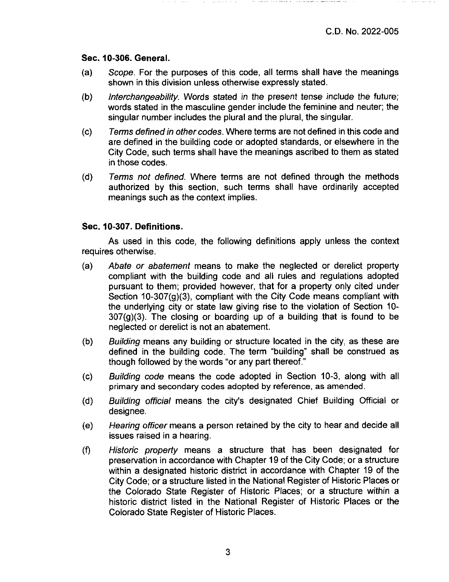#### **Sec. 10-306. General.**

- (a) Scope. For the purposes of this code, all terms shall have the meanings shown in this division unless othenwise expressly stated.
- (b) Interchangeability. Words stated in the present tense include the future; words stated in the masculine gender include the feminine and neuter; the singular number includes the plural and the plural, the singular.
- (c) Terms defined in other codes. Where terms are not defined in this code and are defined in the building code or adopted standards, or elsewhere in the City Code, such terms shall have the meanings ascribed to them as stated in those codes.
- (d) Terms not defined. Where terms are not defined through the methods authorized by this section, such terms shall have ordinarily accepted meanings such as the context implies.

### **Sec. 10-307. Definitions.**

As used in this code, the following definitions apply unless the context requires othenwise.

- (a) Abate or abatement means to make the neglected or derelict property compliant with the building code and all rules and regulations adopted pursuant to them; provided however, that for a property only cited under Section 10-307(g)(3), compliant with the City Code means compliant with the underlying city or state law giving rise to the violation of Section 10-  $307(g)(3)$ . The closing or boarding up of a building that is found to be neglected or derelict is not an abatement.
- (b) Building means any building or structure located in the city, as these are defined in the building code. The term "building" shall be construed as though followed by the words "or any part thereof."
- (c) Building code means the code adopted in Section 10-3, along with all primary and secondary codes adopted by reference, as amended.
- (d) Building official means the city's designated Chief Building Official or designee.
- (e) Hearing officer means a person retained by the city to hear and decide all issues raised in a hearing.
- (f) Historic property means a structure that has been designated for preservation in accordance with Chapter 19 of the City Code; or a structure within a designated historic district in accordance with Chapter 19 of the City Code; or a structure listed in the National Register of Historic Places or the Colorado State Register of Historic Places; or a structure within a historic district listed in the National Register of Historic Places or the Colorado State Register of Historic Places.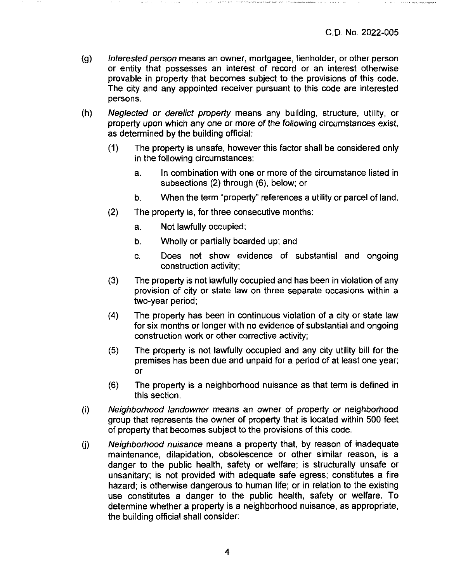- (g) Interested person means an owner, mortgagee, lienholder, or other person or entity that possesses an interest of record or an interest otherwise provable in property that becomes subject to the provisions of this code. The city and any appointed receiver pursuant to this code are interested persons.
- (h) Neglected or derelict property means any building, structure, utility, or property upon which any one or more of the foliowing circumstances exist, as determined by the building official:
	- (1) The property is unsafe, however this factor shall be considered only in the following circumstances:
		- a. In combination with one or more of the circumstance listed in subsections (2) through (6), below; or
		- b. When the term "property" references a utility or parcel of land.
	- (2) The property is, for three consecutive months:
		- a. Not lawfully occupied;
		- b. Wholly or partially boarded up; and
		- c. Does not show evidence of substantial and ongoing construction activity;
	- (3) The property is not lawfully occupied and has been in violation of any provision of city or state law on three separate occasions within a two-year period;
	- (4) The property has been in continuous violation of a city or state law for six months or longer with no evidence of substantial and ongoing construction work or other corrective activity;
	- (5) The property is not lawfully occupied and any city utility bill for the premises has been due and unpaid for a period of at least one year; or
	- (6) The property is a neighborhood nuisance as that term is defined in this section.
- (i) Neighbortiood landowner means an owner of property or neighborhood group that represents the owner of property that is located within 500 feet of property that becomes subject to the provisions of this code.
- (j) Neighborhood nuisance means a property that, by reason of inadequate maintenance, dilapidation, obsolescence or other similar reason, is a danger to the public health, safety or welfare; is structurally unsafe or unsanitary; is not provided with adequate safe egress; constitutes a fire hazard; is otherwise dangerous to human life; or in relation to the existing use constitutes a danger to the public health, safety or welfare. To determine whether a property is a neighborhood nuisance, as appropriate, the building official shall consider: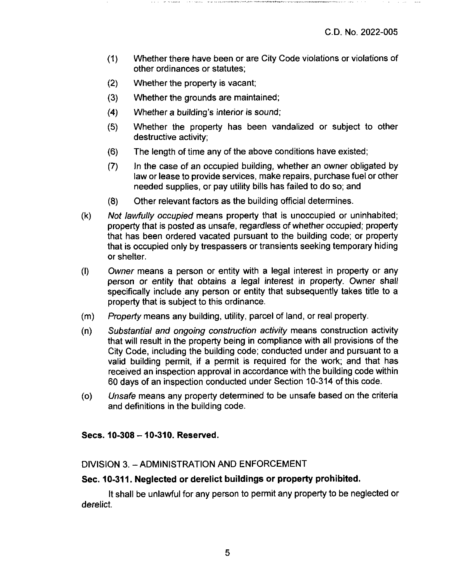- (1) Whether there have been or are City Code violations or violations of other ordinances or statutes;
- (2) Whether the property is vacant;
- (3) Whether the grounds are maintained;
- (4) Whether a building's interior is sound;
- (5) Whether the property has been vandalized or subject to other destructive activity;
- (6) The length of time any of the above conditions have existed;
- (7) In the case of an occupied building, whether an owner obligated by law or lease to provide services, make repairs, purchase fuel or other needed supplies, or pay utility bills has failed to do so; and
- (8) Other relevant factors as the building official determines.
- (k) Not lawfully occupied means property that is unoccupied or uninhabited; property that is posted as unsafe, regardless of whether occupied; property that has been ordered vacated pursuant to the building code; or property that is occupied only by trespassers or transients seeking temporary hiding or shelter.
- (l) Owner means a person or entity with a legal interest in property or any person or entity that obtains a legal interest in property. Owner shall specifically include any person or entity that subsequently takes title to a property that is subject to this ordinance.
- (m) Property means any building, utility, parcel of land, or real property.
- (n) Substantial and ongoing construction activity means construction activity that will result in the property being in compliance with all provisions of the City Code, including the building code; conducted under and pursuant to a valid building permit, if a permit is required for the work; and that has received an inspection approval in accordance with the building code within 60 days of an inspection conducted under Section 10-314 of this code.
- (o) Unsafe means any property determined to be unsafe based on the criteria and definitions in the building code.

**Secs. 10-308 - 10-310. Reserved.**

### DIVISION 3. -ADMINISTRATION AND ENFORCEMENT

### **Sec. 10-311. Neglected or derelict buildings or property prohibited.**

It shall be unlawful for any person to permit any property to be neglected or derelict.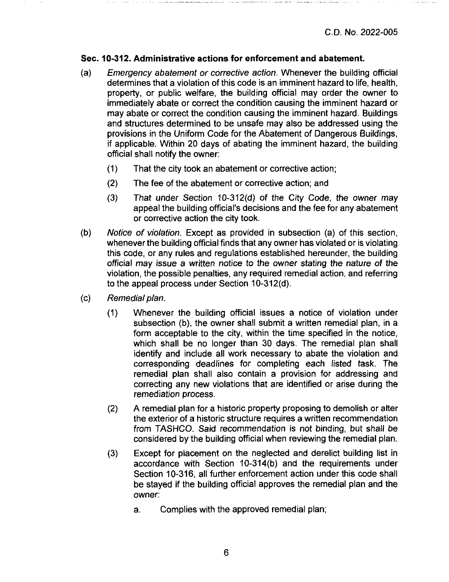### Sec. 10-312. Administrative actions for enforcement and abatement.

- (a) Emergency abatement or corrective action. Whenever the building official determines that a violation of this code is an imminent hazard to life, health, property, or public welfare, the building official may order the owner to immediately abate or correct the condition causing the imminent hazard or may abate or correct the condition causing the imminent hazard. Buildings and structures determined to be unsafe may also be addressed using the provisions in the Uniform Code for the Abatement of Dangerous Buildings, if applicable. Within 20 days of abating the imminent hazard, the building official shall notify the owner:
	- (1) That the city took an abatement or corrective action;
	- (2) The fee of the abatement or corrective action; and
	- (3) That under Section 10-312(d) of the City Code, the owner may appeal the building official's decisions and the fee for any abatement or corrective action the city took.
- (b) Notice of violation. Except as provided in subsection (a) of this section, whenever the building official finds that any owner has violated or is violating this code, or any rules and regulations established hereunder, the building official may issue a written notice to the owner stating the nature of the violation, the possible penalties, any required remedial action, and referring to the appeal process under Section 10-312(d).
- *(c) Remedial plan.*
	- (1) Whenever the building official issues a notice of violation under subsection (b), the owner shall submit a written remedial plan, in a form acceptable to the city, within the time specified in the notice, which shall be no longer than 30 days. The remedial plan shall identify and include all work necessary to abate the violation and corresponding deadlines for completing each listed task. The remedial plan shall also contain a provision for addressing and correcting any new violations that are identified or arise during the remediation process.
	- (2) A remedial plan for a historic property proposing to demolish or alter the exterior of a historic structure requires a written recommendation from TASHCO. Said recommendation is not binding, but shall be considered by the building official when reviewing the remedial plan.
	- (3) Except for placement on the neglected and derelict building list in accordance with Section 10-314(b) and the requirements under Section 10-316, all further enforcement action under this code shall be stayed if the building official approves the remedial plan and the owner:
		- a. Complies with the approved remedial plan;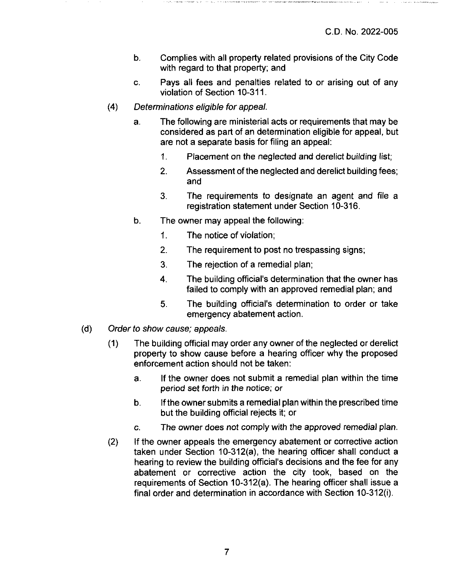- b. Complies with all property related provisions of the City Code with regard to that property; and
- c. Pays all fees and penalties related to or arising out of any violation of Section 10-311.
- *(4) Determinations eligible for appeal.*
	- a. The following are ministerial acts or requirements that may be considered as part of an determination eligible for appeal, but are not a separate basis for filing an appeal:
		- 1. Placement on the neglected and derelict building list;
		- 2. Assessment of the neglected and derelict building fees; and
		- 3. The requirements to designate an agent and file a registration statement under Section 10-316.
	- b. The owner may appeal the following:
		- 1. The notice of violation;
		- 2. The requirement to post no trespassing signs;
		- 3. The rejection of a remedial plan;
		- 4. The building official's determination that the owner has failed to comply with an approved remedial plan; and
		- 5. The building official's determination to order or take emergency abatement action.
- *(d) Order to show cause; appeals.*
	- (1) The building official may order any owner of the neglected or derelict property to show cause before a hearing officer why the proposed enforcement action should not be taken:
		- a. If the owner does not submit a remedial plan within the time period set forth in the notice; or
		- b. Ifthe owner submits a remedial plan within the prescribed time but the building official rejects it; or
		- c. The owner does not comply with the approved remedial plan.
	- (2) If the owner appeals the emergency abatement or corrective action taken under Section 10-312(a). the hearing officer shall conduct a hearing to review the building official's decisions and the fee for any abatement or corrective action the city took, based on the requirements of Section 10-312(a). The hearing officer shall issue a final order and determination in accordance with Section 10-312(i).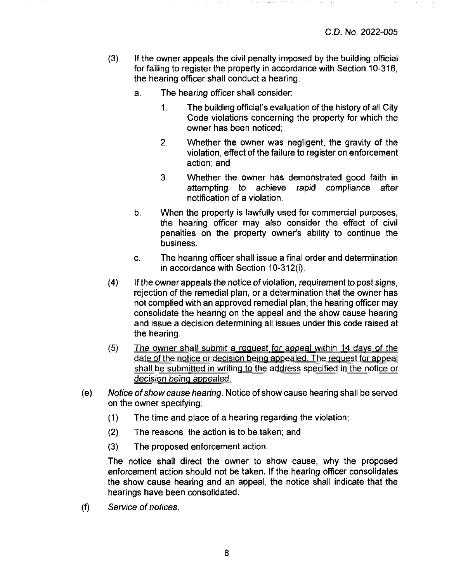- (3) If the owner appeals the civil penalty imposed by the building official for failing to register the property in accordance with Section 10-316, the hearing officer shall conduct a hearing.
	- a. The hearing officer shall consider;
		- 1. The building official's evaluation of the history of all City Code violations concerning the property for which the owner has been noticed;
		- 2. Whether the owner was negligent, the gravity of the violation, effect of the failure to register on enforcement action; and
		- 3. Whether the owner has demonstrated good faith in attempting to achieve rapid compliance after notification of a violation.
	- b. When the property is lawfully used for commercial purposes, the hearing officer may also consider the effect of civil penalties on the property owner's ability to continue the business.
	- c. The hearing officer shall issue a final order and determination in accordance with Section 10-312(i).
- (4) If the owner appeals the notice of violation, requirement to post signs, rejection of the remedial plan, or a determination that the owner has not complied with an approved remedial plan, the hearing officer may consolidate the hearing on the appeal and the show cause hearing and issue a decision determining all issues under this code raised at the hearing.
- (5) The owner shall submit a request for appeal within 14 days of the date of the notice or decision being appealed. The request for appeal shall be submitted in writing to the address specified in the notice or decision being appealed.
- (e) Notice ofshow cause hearing. Notice of show cause hearing shall be served on the owner specifying:
	- (1) The time and place of a hearing regarding the violation;
	- (2) The reasons the action is to be taken; and
	- (3) The proposed enforcement action.

The notice shall direct the owner to show cause, why the proposed enforcement action should not be taken. If the hearing officer consolidates the show cause hearing and an appeal, the notice shall indicate that the hearings have been consolidated.

*(f) Service ofnotices.*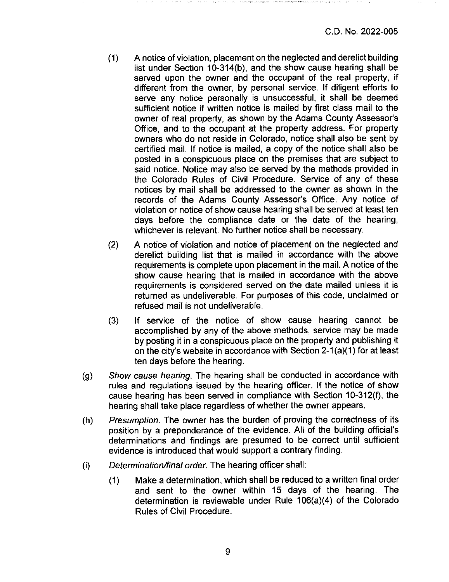- (1) A notice of violation, placement on the neglected and derelict building list under Section 10-314(b), and the show cause hearing shall be served upon the owner and the occupant of the real property, if different from the owner, by personal service. If diligent efforts to serve any notice personally is unsuccessful, it shall be deemed sufficient notice if written notice is mailed by first class mail to the owner of real property, as shown by the Adams County Assessor's Office, and to the occupant at the property address. For property owners who do not reside in Colorado, notice shall also be sent by certified mail. If notice is mailed, a copy of the notice shall also be posted in a conspicuous place on the premises that are subject to said notice. Notice may also be served by the methods provided in the Colorado Rules of Civil Procedure. Service of any of these notices by mail shall be addressed to the owner as shown in the records of the Adams County Assessor's Office. Any notice of violation or notice of show cause hearing shall be served at least ten days before the compliance date or the date of the hearing, whichever is relevant. No further notice shall be necessary.
- (2) A notice of violation and notice of placement on the neglected and derelict building list that is mailed in accordance with the above requirements is complete upon placement in the mail. A notice of the show cause hearing that is mailed in accordance with the above requirements is considered served on the date mailed unless it is returned as undeliverable. For purposes of this code, unclaimed or refused mail is not undeliverable.
- (3) If service of the notice of show cause hearing cannot be accomplished by any of the above methods, service may be made by posting it in a conspicuous place on the property and publishing it on the city's website in accordance with Section 2-1 (a)(1) for at least ten days before the hearing.
- (g) Show cause hearing. The hearing shall be conducted in accordance with rules and regulations issued by the hearing officer. If the notice of show cause hearing has been served in compliance with Section 10-312(f), the hearing shall take place regardless of whether the owner appears.
- (h) Presumption. The owner has the burden of proving the correctness of its position by a preponderance of the evidence. All of the building official's determinations and findings are presumed to be correct until sufficient evidence is introduced that would support a contrary finding.
- (i) Determination/final order. The hearing officer shall:
	- (1) Make a determination, which shall be reduced to a written final order and sent to the owner within 15 days of the hearing. The determination is reviewable under Rule 106(a)(4) of the Colorado Rules of Civil Procedure.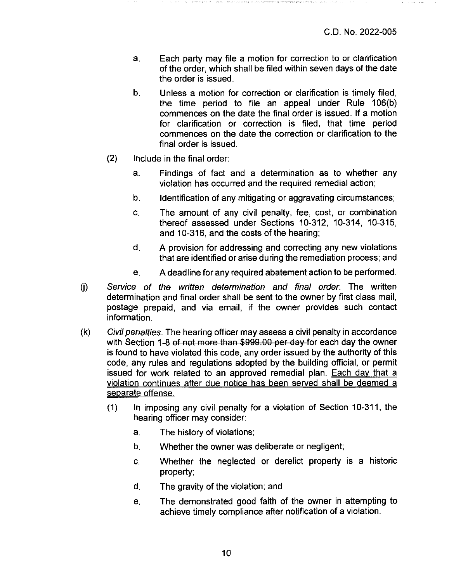- a. Each party may file a motion for correction to or clarification of the order, which shall be filed within seven days of the date the order is issued.
- b. Unless a motion for correction or clarification is timely filed, the time period to file an appeal under Rule 106(b) commences on the date the final order is issued. If a motion for clarification or correction is filed, that time period commences on the date the correction or clarification to the final order is issued.
- (2) include in the final order:
	- a. Findings of fact and a determination as to whether any violation has occurred and the required remedial action;
	- b. Identification of any mitigating or aggravating circumstances;
	- **c.** The amount of any civil penalty, fee, cost, or combination thereof assessed under Sections 10-312, 10-314, 10-315, and 10-316, and the costs of the hearing:
	- d. A provision for addressing and correcting any new violations that are identified or arise during the remediation process; and
	- e. A deadline for any required abatement action to be performed.
- (j) Service of the written determination and final order. The written determination and final order shall be sent to the owner by first class mail, postage prepaid, and via email, if the owner provides such contact information.
- $(k)$  Civil penalties. The hearing officer may assess a civil penalty in accordance with Section 1-8 of not more than \$999.00 per day for each day the owner is found to have violated this code, any order issued by the authority of this code, any rules and regulations adopted by the building official, or permit issued for work related to an approved remedial plan. Each dav that a violation continues after due notice has been served shall be deemed a separate offense.
	- (1) In imposing any civil penalty for a violation of Section 10-311, the hearing officer may consider:
		- a. The history of violations;
		- b. Whether the owner was deliberate or negligent;
		- c. Whether the neglected or derelict property is a historic property;
		- d. The gravity of the violation; and
		- e. The demonstrated good faith of the owner in attempting to achieve timely compliance after notification of a violation.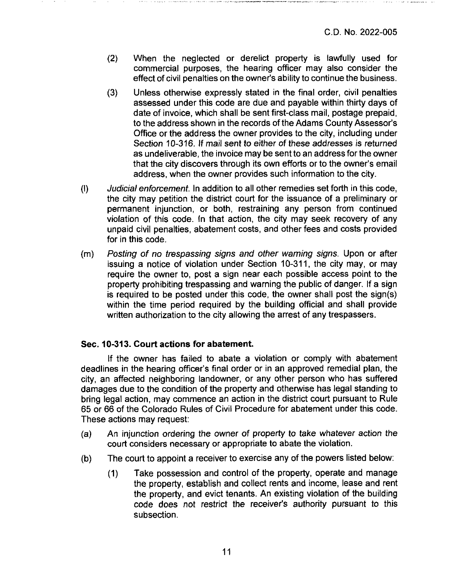- (2) When the neglected or derelict property is lawfully used for commercial purposes, the hearing officer may also consider the effect of civil penalties on the owner's ability to continue the business.
- (3) Unless otherwise expressly stated in the final order, civil penalties assessed under this code are due and payable within thirty days of date of invoice, which shall be sent first-class mail, postage prepaid, to the address shown in the records of the Adams County Assessor's Office or the address the owner provides to the city, including under Section 10-316. If mail sent to either of these addresses is returned as undeliverable, the invoice may be sent to an address forthe owner that the city discovers through its own efforts or to the owner's email address, when the owner provides such information to the city.
- (l) Judicial enforcement. In addition to all other remedies set forth in this code, the city may petition the district court for the issuance of a preliminary or permanent injunction, or both, restraining any person from continued violation of this code. In that action, the city may seek recovery of any unpaid civil penalties, abatement costs, and other fees and costs provided for in this code.
- (m) Posting of no trespassing signs and other warning signs. Upon or after issuing a notice of violation under Section 10-311, the city may, or may require the owner to, post a sign near each possible access point to the property prohibiting trespassing and warning the public of danger. If a sign is required to be posted under this code, the owner shall post the sign(s) within the time period required by the building official and shall provide written authorization to the city allowing the arrest of any trespassers.

### **Sec. 10-313. Court actions for abatement.**

If the owner has failed to abate a violation or comply with abatement deadlines in the hearing officer's final order or in an approved remedial plan, the city, an affected neighboring landowner, or any other person who has suffered damages due to the condition of the property and othenvise has legal standing to bring legal action, may commence an action in the district court pursuant to Rule 65 or 66 of the Colorado Rules of Civil Procedure for abatement under this code. These actions may request:

- (a) An injunction ordering the owner of property to take whatever action the court considers necessary or appropriate to abate the violation.
- (b) The court to appoint a receiver to exercise any of the powers listed below:
	- (1) Take possession and control of the property, operate and manage the property, establish and collect rents and income, lease and rent the property, and evict tenants. An existing violation of the building code does not restrict the receiver's authority pursuant to this subsection.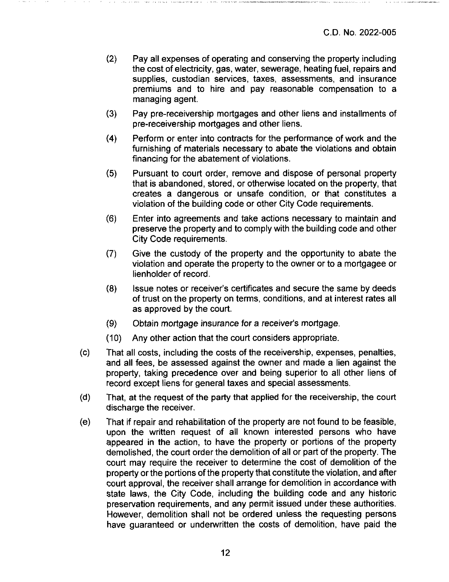- (2) Pay all expenses of operating and conserving the property including the cost of electricity, gas, water, sewerage, heating fuel, repairs and supplies, custodian services, taxes, assessments, and insurance premiums and to hire and pay reasonable compensation to a managing agent.
- (3) Pay pre-receivership mortgages and other liens and installments of pre-receivership mortgages and other liens.
- (4) Perform or enter into contracts for the performance of work and the furnishing of materials necessary to abate the violations and obtain financing for the abatement of violations.
- (5) Pursuant to court order, remove and dispose of personal property that is abandoned, stored, or otherwise located on the property, that creates a dangerous or unsafe condition, or that constitutes a violation of the building code or other City Code requirements.
- (6) Enter into agreements and take actions necessary to maintain and preserve the property and to comply with the building code and other City Code requirements.
- (7) Give the custody of the property and the opportunity to abate the violation and operate the property to the owner or to a mortgagee or lienholder of record.
- (8) Issue notes or receiver's certificates and secure the same by deeds of trust on the property on terms, conditions, and at interest rates all as approved by the court.
- (9) Obtain mortgage insurance for a receiver's mortgage.
- (10) Any other action that the court considers appropriate.
- (c) That all costs, including the costs of the receivership, expenses, penalties, and ail fees, be assessed against the owner and made a lien against the property, taking precedence over and being superior to all other liens of record except liens for general taxes and special assessments.
- (d) That, at the request of the party that applied for the receivership, the court discharge the receiver.
- (e) That if repair and rehabilitation of the property are not found to be feasible, upon the written request of all known interested persons who have appeared in the action, to have the property or portions of the property demolished, the court order the demolition of all or part of the property. The court may require the receiver to determine the cost of demolition of the property or the portions of the property that constitute the violation, and after court approval, the receiver shall arrange for demolition in accordance with state laws, the City Code, including the building code and any historic preservation requirements, and any permit issued under these authorities. However, demolition shall not be ordered unless the requesting persons have guaranteed or undenwritten the costs of demolition, have paid the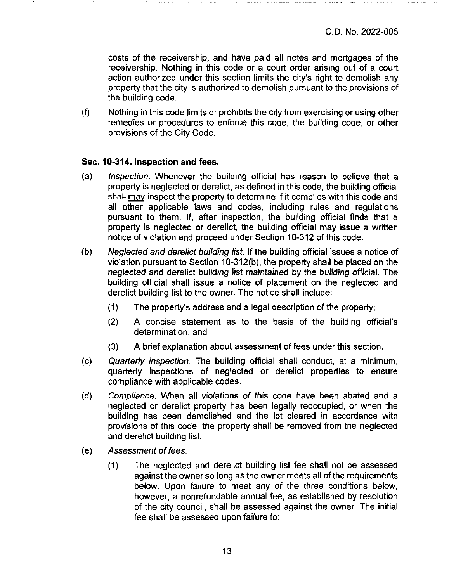costs of the receivership, and have paid all notes and mortgages of the receivership. Nothing in this code or a court order arising out of a court action authorized under this section limits the city's right to demolish any property that the city is authorized to demolish pursuant to the provisions of the building code.

(f) Nothing in this code limits or prohibits the city from exercising or using other remedies or procedures to enforce this code, the building code, or other provisions of the City Code.

# **Sec. 10-314. Inspection and fees.**

- (a) Inspection. Whenever the building official has reason to believe that a property is neglected or derelict, as defined in this code, the building official shall may inspect the property to determine if it complies with this code and all other applicable laws and codes, including rules and regulations pursuant to them. If, after inspection, the building official finds that a property is neglected or derelict, the building official may issue a written notice of violation and proceed under Section 10-312 of this code.
- (b) Neglected and derelict building list. If the building official issues a notice of violation pursuant to Section 10-312(b), the property shall be placed on the neglected and derelict building list maintained by the building official. The building official shall issue a notice of placement on the neglected and derelict building list to the owner. The notice shall include:
	- (1) The property's address and a legal description of the property:
	- (2) A concise statement as to the basis of the building official's determination; and
	- (3) A brief explanation about assessment of fees under this section.
- (c) Quarterly inspection. The building official shall conduct, at a minimum, quarterly inspections of neglected or derelict properties to ensure compliance with applicable codes.
- (d) Compliance. When all violations of this code have been abated and a neglected or derelict property has been legally reoccupied, or when the building has been demolished and the lot cleared in accordance with provisions of this code, the property shall be removed from the neglected and derelict building list.
- *(e) Assessment offees.*
	- (1) The neglected and derelict building list fee shall not be assessed against the owner so long as the owner meets all of the requirements below. Upon failure to meet any of the three conditions below, however, a nonrefundable annual fee, as established by resolution of the city council, shall be assessed against the owner. The initial fee shall be assessed upon failure to;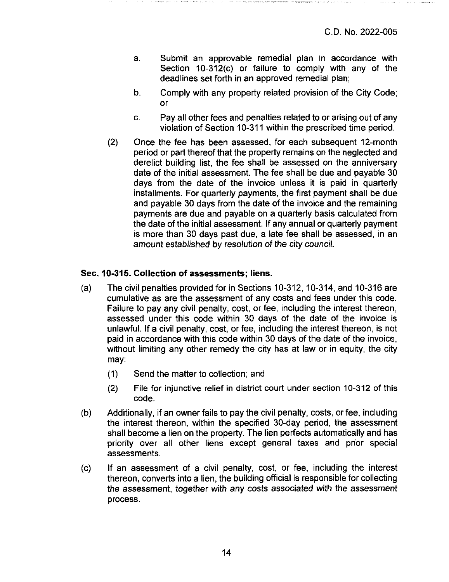- a. Submit an approvable remedial plan in accordance with Section 10-312(c) or failure to comply with any of the deadlines set forth in an approved remedial plan;
- b. Comply with any property related provision of the City Code; or
- c. Pay all other fees and penalties related to or arising out of any violation of Section 10-311 within the prescribed time period.
- (2) Once the fee has been assessed, for each subsequent 12-month period or part thereof that the property remains on the neglected and derelict building list, the fee shall be assessed on the anniversary date of the initial assessment. The fee shall be due and payable 30 days from the date of the invoice unless it is paid in quarterly installments. For quarterly payments, the first payment shall be due and payable 30 days from the date of the invoice and the remaining payments are due and payable on a quarterly basis calculated from the date of the initial assessment. If any annual or quarterly payment is more than 30 days past due, a late fee shall be assessed, in an amount established by resolution of the city council.

# **Sec. 10-315. Collection of assessments; liens.**

- (a) The civil penalties provided for in Sections 10-312, 10-314, and 10-316 are cumulative as are the assessment of any costs and fees under this code. Failure to pay any civil penalty, cost, or fee, including the interest thereon, assessed under this code within 30 days of the date of the invoice is unlawful. If a civil penalty, cost, or fee, including the interest thereon, is not paid in accordance with this code within 30 days of the date of the invoice, without limiting any other remedy the city has at law or in equity, the city may:
	- (1) Send the matter to collection: and
	- (2) File for injunctive relief in district court under section 10-312 of this code.
- (b) Additionally, if an owner fails to pay the civil penalty, costs, or fee, including the interest thereon, within the specified 30-day period, the assessment shall become a lien on the property. The lien perfects automatically and has priority over all other liens except general taxes and prior special assessments.
- (c) If an assessment of a civil penalty, cost, or fee, including the interest thereon, converts into a lien, the building official is responsible for collecting the assessment, together with any costs associated with the assessment process.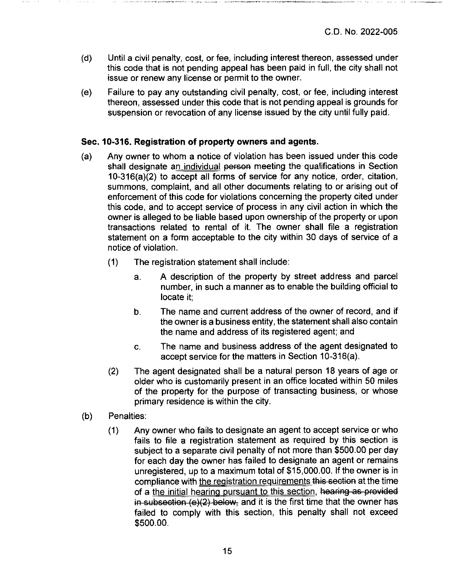- (d) Until a civil penalty, cost, or fee, including interest thereon, assessed under this code that is not pending appeal has been paid in full, the city shall not issue or renew any license or permit to the owner.
- (e) Failure to pay any outstanding civil penalty, cost, or fee, including interest thereon, assessed under this code that is not pending appeal is grounds for suspension or revocation of any license issued by the city until fully paid.

# **Sec. 10-316. Registration of property owners and agents.**

- (a) Any owner to whom a notice of violation has been issued under this code shall designate an individual person meeting the qualifications in Section 10-316(a)(2) to accept all forms of service for any notice, order, citation, summons, complaint, and all other documents relating to or arising out of enforcement of this code for violations concerning the property cited under this code, and to accept service of process in any civil action in which the owner is alleged to be liable based upon ownership of the property or upon transactions related to rental of it. The owner shall file a registration statement on a form acceptable to the city within 30 days of service of a notice of violation.
	- (1) The registration statement shall include:
		- a. A description of the property by street address and parcel number, in such a manner as to enable the building official to locate it;
		- b. The name and current address of the owner of record, and if the owner is a business entity, the statement shall also contain the name and address of its registered agent; and
		- c. The name and business address of the agent designated to accept service for the matters in Section 10-316(a).
	- (2) The agent designated shall be a natural person 18 years of age or older who is customarily present in an office located within 50 miles of the property for the purpose of transacting business, or whose primary residence is within the city.
- (b) Penalties:
	- (1) Any owner who fails to designate an agent to accept service or who fails to file a registration statement as required by this section is subject to a separate civil penalty of not more than \$500.00 per day for each day the owner has failed to designate an agent or remains unregistered, up to a maximum total of \$15,000.00. If the owner is in compliance with the registration requirements this section at the time of a the initial hearing pursuant to this section, hearing as provided in subsection  $(e)(2)$  below, and it is the first time that the owner has failed to comply with this section, this penalty shall not exceed \$500.00.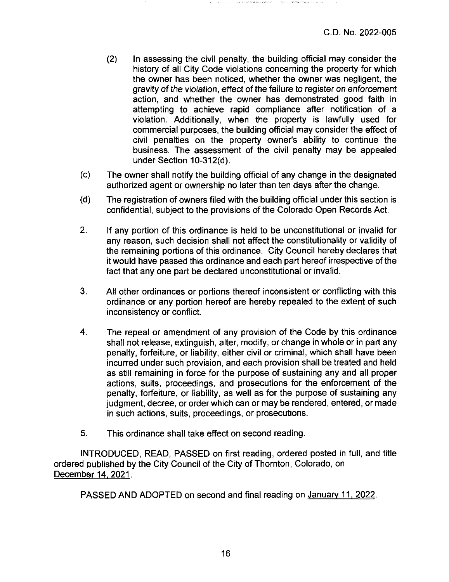- (2) In assessing the civil penalty, the building official may consider the history of all City Code violations concerning the property for which the owner has been noticed, whether the owner was negligent, the gravity of the violation, effect of the failure to register on enforcement action, and whether the owner has demonstrated good faith in attempting to achieve rapid compliance after notification of a violation. Additionally, when the property is lawfully used for commercial purposes, the building official may consider the effect of civil penalties on the property owner's ability to continue the business. The assessment of the civil penalty may be appealed under Section 10-312(d).
- (c) The owner shall notify the building official of any change in the designated authorized agent or ownership no later than ten days after the change.
- (d) The registration of owners filed with the building official under this section is confidential, subject to the provisions of the Colorado Open Records Act.
- 2. If any portion of this ordinance is held to be unconstitutional or invalid for any reason, such decision shall not affect the constitutionality or validity of the remaining portions of this ordinance. City Council hereby declares that it would have passed this ordinance and each part hereof irrespective of the fact that any one part be declared unconstitutional or invalid.
- 3. All other ordinances or portions thereof inconsistent or conflicting with this ordinance or any portion hereof are hereby repealed to the extent of such inconsistency or conflict.
- 4. The repeal or amendment of any provision of the Code by this ordinance shall not release, extinguish, alter, modify, or change in whole or in part any penalty, forfeiture, or liability, either civil or criminal, which shall have been incurred under such provision, and each provision shall be treated and held as still remaining in force for the purpose of sustaining any and all proper actions, suits, proceedings, and prosecutions for the enforcement of the penalty, forfeiture, or liability, as well as for the purpose of sustaining any judgment, decree, or orderwhich can or may be rendered, entered, or made in such actions, suits, proceedings, or prosecutions.
- 5. This ordinance shall take effect on second reading.

INTRODUCED, READ, PASSED on first reading, ordered posted in full, and title ordered published by the City Council of the City of Thornton, Colorado, on December 14, 2021.

PASSED AND ADOPTED on second and final reading on January 11, 2022.